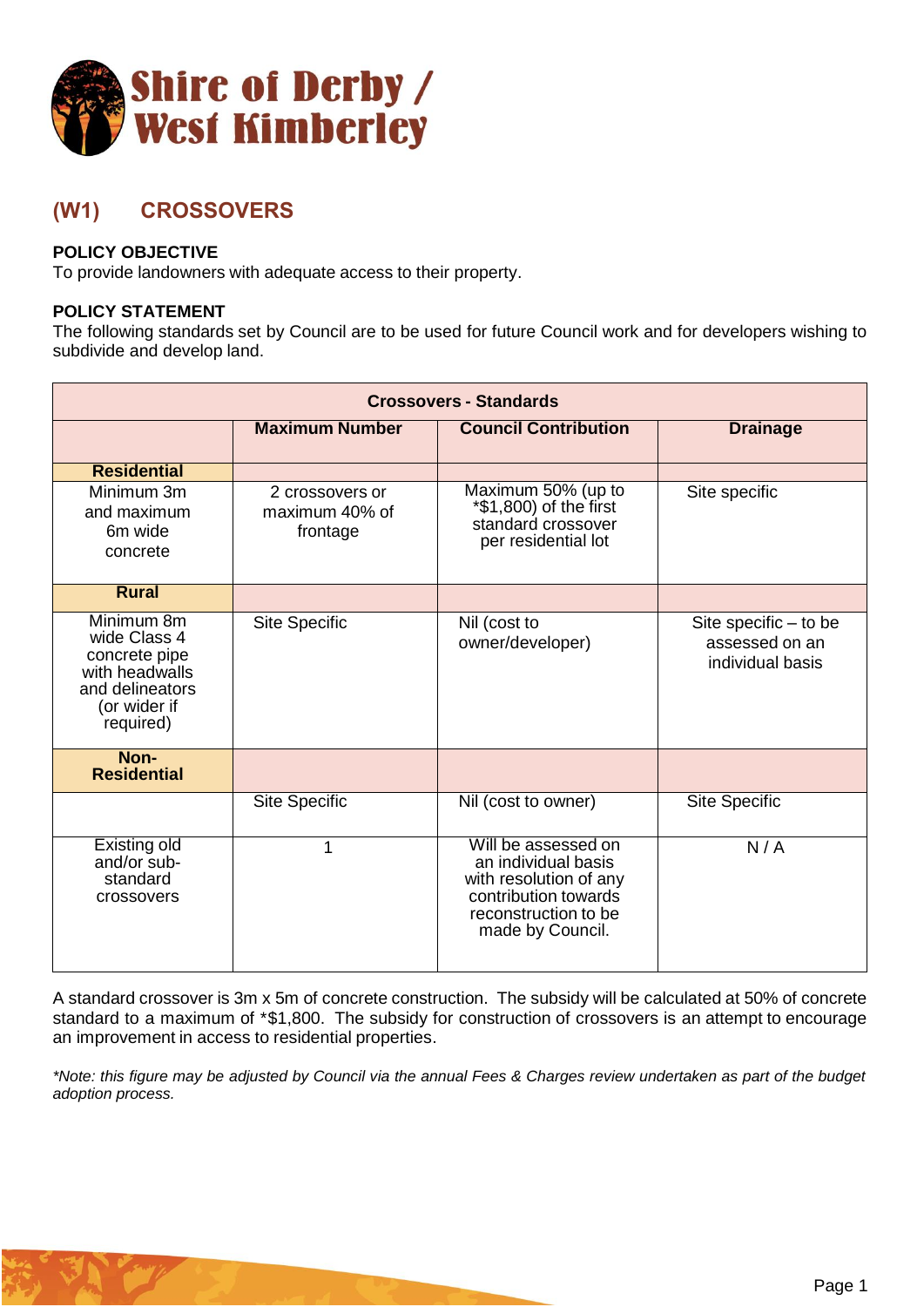

## **(W1) CROSSOVERS**

## **POLICY OBJECTIVE**

To provide landowners with adequate access to their property.

## **POLICY STATEMENT**

The following standards set by Council are to be used for future Council work and for developers wishing to subdivide and develop land.

| <b>Crossovers - Standards</b>                                                                                 |                                               |                                                                                                                                          |                                                               |  |
|---------------------------------------------------------------------------------------------------------------|-----------------------------------------------|------------------------------------------------------------------------------------------------------------------------------------------|---------------------------------------------------------------|--|
|                                                                                                               | <b>Maximum Number</b>                         | <b>Council Contribution</b>                                                                                                              | <b>Drainage</b>                                               |  |
| <b>Residential</b>                                                                                            |                                               |                                                                                                                                          |                                                               |  |
| Minimum 3m<br>and maximum<br>6 <sub>m</sub> wide<br>concrete                                                  | 2 crossovers or<br>maximum 40% of<br>frontage | Maximum 50% (up to<br>*\$1,800) of the first<br>standard crossover<br>per residential lot                                                | Site specific                                                 |  |
| <b>Rural</b>                                                                                                  |                                               |                                                                                                                                          |                                                               |  |
| Minimum 8m<br>wide Class 4<br>concrete pipe<br>with headwalls<br>and delineators<br>(or wider if<br>required) | <b>Site Specific</b>                          | Nil (cost to<br>owner/developer)                                                                                                         | Site specific $-$ to be<br>assessed on an<br>individual basis |  |
| Non-<br><b>Residential</b>                                                                                    |                                               |                                                                                                                                          |                                                               |  |
|                                                                                                               | <b>Site Specific</b>                          | Nil (cost to owner)                                                                                                                      | <b>Site Specific</b>                                          |  |
| <b>Existing old</b><br>and/or sub-<br>standard<br>crossovers                                                  | 1                                             | Will be assessed on<br>an individual basis<br>with resolution of any<br>contribution towards<br>reconstruction to be<br>made by Council. | N/A                                                           |  |

A standard crossover is 3m x 5m of concrete construction. The subsidy will be calculated at 50% of concrete standard to a maximum of \*\$1,800. The subsidy for construction of crossovers is an attempt to encourage an improvement in access to residential properties.

*\*Note: this figure may be adjusted by Council via the annual Fees & Charges review undertaken as part of the budget adoption process.*